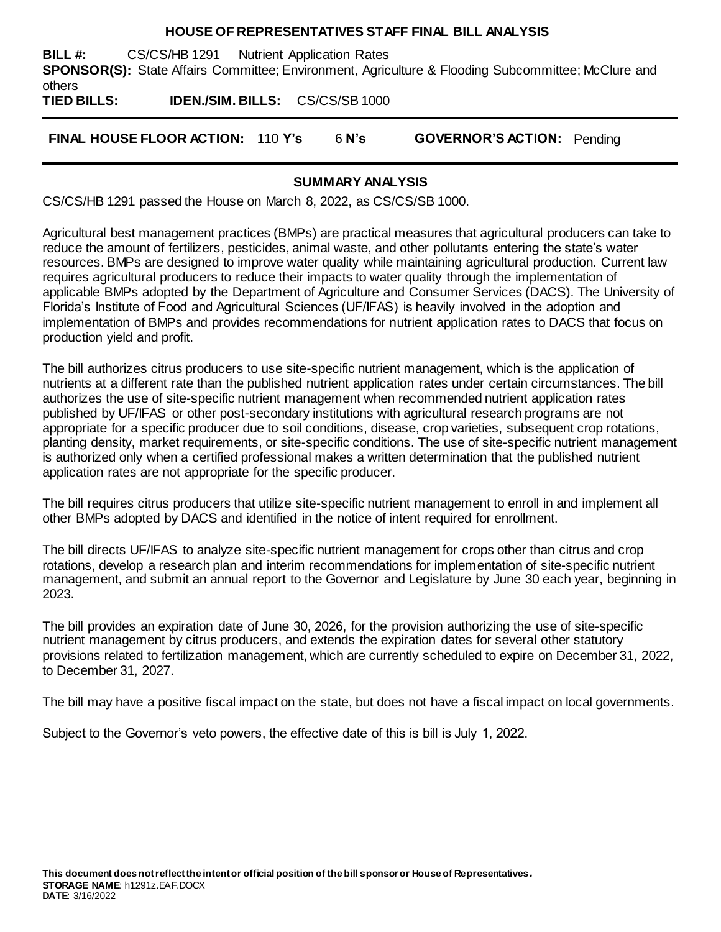#### **HOUSE OF REPRESENTATIVES STAFF FINAL BILL ANALYSIS**

**BILL #:** CS/CS/HB 1291 Nutrient Application Rates **SPONSOR(S):** State Affairs Committee; Environment, Agriculture & Flooding Subcommittee; McClure and others

**TIED BILLS: IDEN./SIM. BILLS:** CS/CS/SB 1000

**FINAL HOUSE FLOOR ACTION:** 110 **Y's** 6 **N's GOVERNOR'S ACTION:** Pending

### **SUMMARY ANALYSIS**

CS/CS/HB 1291 passed the House on March 8, 2022, as CS/CS/SB 1000.

Agricultural best management practices (BMPs) are practical measures that agricultural producers can take to reduce the amount of fertilizers, pesticides, animal waste, and other pollutants entering the state's water resources. BMPs are designed to improve water quality while maintaining agricultural production. Current law requires agricultural producers to reduce their impacts to water quality through the implementation of applicable BMPs adopted by the Department of Agriculture and Consumer Services (DACS). The University of Florida's Institute of Food and Agricultural Sciences (UF/IFAS) is heavily involved in the adoption and implementation of BMPs and provides recommendations for nutrient application rates to DACS that focus on production yield and profit.

The bill authorizes citrus producers to use site-specific nutrient management, which is the application of nutrients at a different rate than the published nutrient application rates under certain circumstances. The bill authorizes the use of site-specific nutrient management when recommended nutrient application rates published by UF/IFAS or other post-secondary institutions with agricultural research programs are not appropriate for a specific producer due to soil conditions, disease, crop varieties, subsequent crop rotations, planting density, market requirements, or site-specific conditions. The use of site-specific nutrient management is authorized only when a certified professional makes a written determination that the published nutrient application rates are not appropriate for the specific producer.

The bill requires citrus producers that utilize site-specific nutrient management to enroll in and implement all other BMPs adopted by DACS and identified in the notice of intent required for enrollment.

The bill directs UF/IFAS to analyze site-specific nutrient management for crops other than citrus and crop rotations, develop a research plan and interim recommendations for implementation of site-specific nutrient management, and submit an annual report to the Governor and Legislature by June 30 each year, beginning in 2023.

The bill provides an expiration date of June 30, 2026, for the provision authorizing the use of site-specific nutrient management by citrus producers, and extends the expiration dates for several other statutory provisions related to fertilization management, which are currently scheduled to expire on December 31, 2022, to December 31, 2027.

The bill may have a positive fiscal impact on the state, but does not have a fiscal impact on local governments.

Subject to the Governor's veto powers, the effective date of this is bill is July 1, 2022.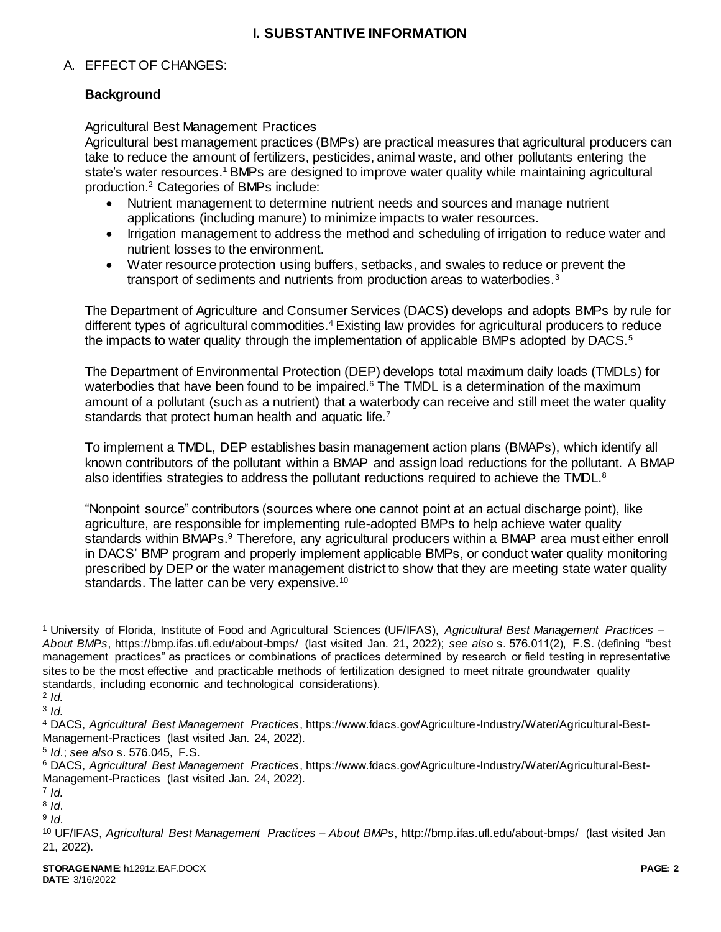## **I. SUBSTANTIVE INFORMATION**

### A. EFFECT OF CHANGES:

### **Background**

#### Agricultural Best Management Practices

Agricultural best management practices (BMPs) are practical measures that agricultural producers can take to reduce the amount of fertilizers, pesticides, animal waste, and other pollutants entering the state's water resources.<sup>1</sup> BMPs are designed to improve water quality while maintaining agricultural production.<sup>2</sup> Categories of BMPs include:

- Nutrient management to determine nutrient needs and sources and manage nutrient applications (including manure) to minimize impacts to water resources.
- Irrigation management to address the method and scheduling of irrigation to reduce water and nutrient losses to the environment.
- Water resource protection using buffers, setbacks, and swales to reduce or prevent the transport of sediments and nutrients from production areas to waterbodies.<sup>3</sup>

The Department of Agriculture and Consumer Services (DACS) develops and adopts BMPs by rule for different types of agricultural commodities.<sup>4</sup> Existing law provides for agricultural producers to reduce the impacts to water quality through the implementation of applicable BMPs adopted by DACS.<sup>5</sup>

The Department of Environmental Protection (DEP) develops total maximum daily loads (TMDLs) for waterbodies that have been found to be impaired.<sup>6</sup> The TMDL is a determination of the maximum amount of a pollutant (such as a nutrient) that a waterbody can receive and still meet the water quality standards that protect human health and aquatic life.<sup>7</sup>

To implement a TMDL, DEP establishes basin management action plans (BMAPs), which identify all known contributors of the pollutant within a BMAP and assign load reductions for the pollutant. A BMAP also identifies strategies to address the pollutant reductions required to achieve the TMDL.<sup>8</sup>

"Nonpoint source" contributors (sources where one cannot point at an actual discharge point), like agriculture, are responsible for implementing rule-adopted BMPs to help achieve water quality standards within BMAPs.<sup>9</sup> Therefore, any agricultural producers within a BMAP area must either enroll in DACS' BMP program and properly implement applicable BMPs, or conduct water quality monitoring prescribed by DEP or the water management district to show that they are meeting state water quality standards. The latter can be very expensive.<sup>10</sup>

2 *Id.*

 $\overline{a}$ 

3 *Id.*

<sup>1</sup> University of Florida, Institute of Food and Agricultural Sciences (UF/IFAS), *Agricultural Best Management Practices – About BMPs*, https://bmp.ifas.ufl.edu/about-bmps/ (last visited Jan. 21, 2022); *see also* s. 576.011(2), F.S. (defining "best management practices" as practices or combinations of practices determined by research or field testing in representative sites to be the most effective and practicable methods of fertilization designed to meet nitrate groundwater quality standards, including economic and technological considerations).

<sup>4</sup> DACS, *Agricultural Best Management Practices*, https://www.fdacs.gov/Agriculture-Industry/Water/Agricultural-Best-Management-Practices (last visited Jan. 24, 2022).

<sup>5</sup> *Id*.; *see also* s. 576.045, F.S.

<sup>6</sup> DACS, *Agricultural Best Management Practices*, https://www.fdacs.gov/Agriculture-Industry/Water/Agricultural-Best-Management-Practices (last visited Jan. 24, 2022).

<sup>7</sup> *Id.*

<sup>8</sup> *Id*.

<sup>9</sup> *Id*.

<sup>10</sup> UF/IFAS, *Agricultural Best Management Practices – About BMPs*, http://bmp.ifas.ufl.edu/about-bmps/ (last visited Jan 21, 2022).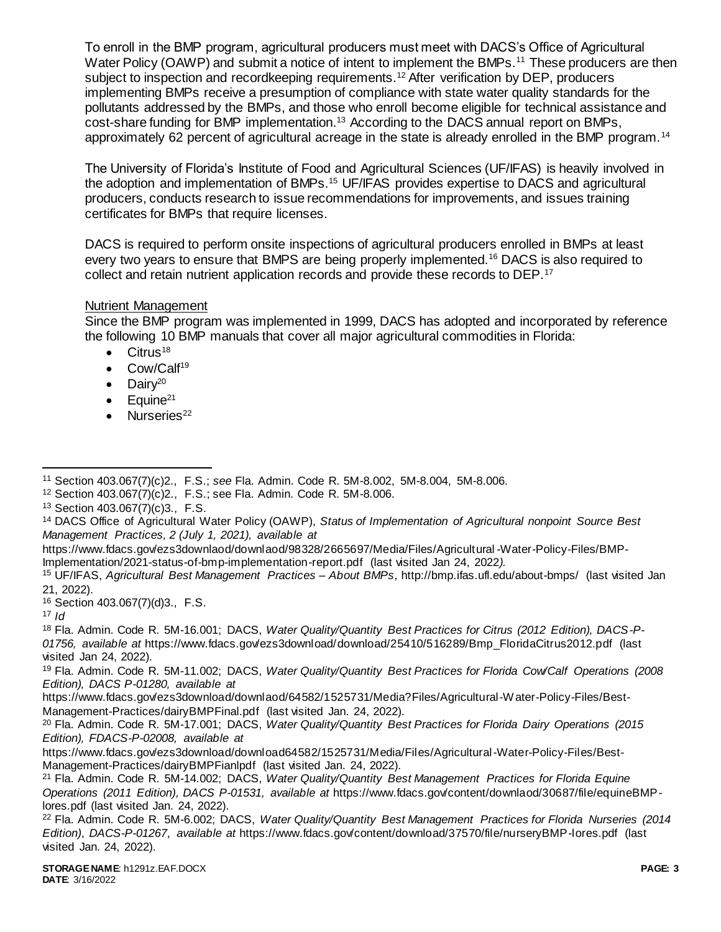To enroll in the BMP program, agricultural producers must meet with DACS's Office of Agricultural Water Policy (OAWP) and submit a notice of intent to implement the BMPs.<sup>11</sup> These producers are then subject to inspection and recordkeeping requirements.<sup>12</sup> After verification by DEP, producers implementing BMPs receive a presumption of compliance with state water quality standards for the pollutants addressed by the BMPs, and those who enroll become eligible for technical assistance and cost-share funding for BMP implementation.<sup>13</sup> According to the DACS annual report on BMPs, approximately 62 percent of agricultural acreage in the state is already enrolled in the BMP program.<sup>14</sup>

The University of Florida's Institute of Food and Agricultural Sciences (UF/IFAS) is heavily involved in the adoption and implementation of BMPs.<sup>15</sup> UF/IFAS provides expertise to DACS and agricultural producers, conducts research to issue recommendations for improvements, and issues training certificates for BMPs that require licenses.

DACS is required to perform onsite inspections of agricultural producers enrolled in BMPs at least every two years to ensure that BMPS are being properly implemented.<sup>16</sup> DACS is also required to collect and retain nutrient application records and provide these records to DEP.<sup>17</sup>

### Nutrient Management

Since the BMP program was implemented in 1999, DACS has adopted and incorporated by reference the following 10 BMP manuals that cover all major agricultural commodities in Florida:

- $\bullet$  Citrus<sup>18</sup>
- Cow/Calf<sup>19</sup>
- $\bullet$  Dairv<sup>20</sup>
- $\bullet$  Equine<sup>21</sup>
- $\bullet$  Nurseries<sup>22</sup>

https://www.fdacs.gov/ezs3downlaod/downlaod/98328/2665697/Media/Files/Agricultural -Water-Policy-Files/BMP-Implementation/2021-status-of-bmp-implementation-report.pdf (last visited Jan 24, 2022*).* 

<sup>16</sup> Section 403.067(7)(d)3., F.S.

<sup>17</sup> *Id*

 $\overline{a}$ <sup>11</sup> Section 403.067(7)(c)2., F.S.; *see* Fla. Admin. Code R. 5M-8.002, 5M-8.004, 5M-8.006.

<sup>12</sup> Section 403.067(7)(c)2., F.S.; see Fla. Admin. Code R. 5M-8.006.

<sup>13</sup> Section 403.067(7)(c)3., F.S.

<sup>14</sup> DACS Office of Agricultural Water Policy (OAWP), *Status of Implementation of Agricultural nonpoint Source Best Management Practices, 2 (July 1, 2021), available at*

<sup>15</sup> UF/IFAS, *Agricultural Best Management Practices – About BMPs*, http://bmp.ifas.ufl.edu/about-bmps/ (last visited Jan 21, 2022).

<sup>18</sup> Fla. Admin. Code R. 5M-16.001; DACS, *Water Quality/Quantity Best Practices for Citrus (2012 Edition), DACS-P-01756, available at* https://www.fdacs.gov/ezs3download/download/25410/516289/Bmp\_FloridaCitrus2012.pdf (last visited Jan 24, 2022).

<sup>19</sup> Fla. Admin. Code R. 5M-11.002; DACS, *Water Quality/Quantity Best Practices for Florida Cow/Calf Operations (2008 Edition), DACS P-01280, available at*

https://www.fdacs.gov/ezs3download/downlaod/64582/1525731/Media?Files/Agricultural-Water-Policy-Files/Best-Management-Practices/dairyBMPFinal.pdf (last visited Jan. 24, 2022).

<sup>20</sup> Fla. Admin. Code R. 5M-17.001; DACS, *Water Quality/Quantity Best Practices for Florida Dairy Operations (2015 Edition), FDACS-P-02008, available at*

https://www.fdacs.gov/ezs3download/download64582/1525731/Media/Files/Agricultural-Water-Policy-Files/Best-Management-Practices/dairyBMPFianlpdf (last visited Jan. 24, 2022).

<sup>21</sup> Fla. Admin. Code R. 5M-14.002; DACS, *Water Quality/Quantity Best Management Practices for Florida Equine Operations (2011 Edition), DACS P-01531, available at* https://www.fdacs.gov/content/downlaod/30687/file/equineBMPlores.pdf (last visited Jan. 24, 2022).

<sup>22</sup> Fla. Admin. Code R. 5M-6.002; DACS, *Water Quality/Quantity Best Management Practices for Florida Nurseries (2014 Edition)*, *DACS-P-01267*, *available at* https://www.fdacs.gov/content/download/37570/file/nurseryBMP-lores.pdf (last visited Jan. 24, 2022).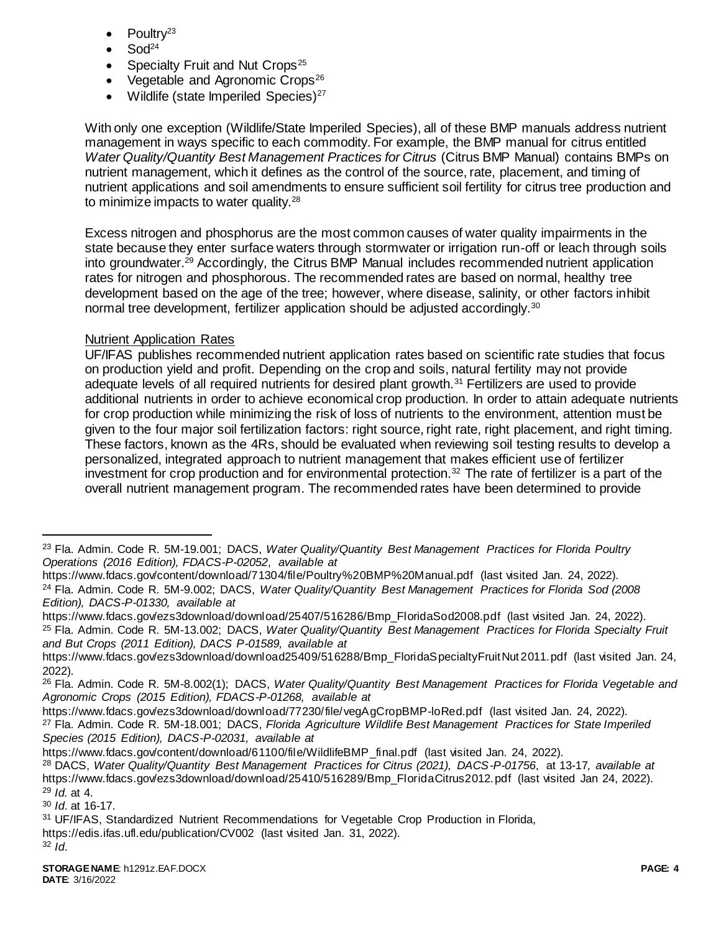- Poultry<sup>23</sup>
- $Sod<sup>24</sup>$
- Specialty Fruit and Nut Crops<sup>25</sup>
- Vegetable and Agronomic Crops $26$
- Wildlife (state Imperiled Species) $27$

With only one exception (Wildlife/State Imperiled Species), all of these BMP manuals address nutrient management in ways specific to each commodity. For example, the BMP manual for citrus entitled *Water Quality/Quantity Best Management Practices for Citrus* (Citrus BMP Manual) contains BMPs on nutrient management, which it defines as the control of the source, rate, placement, and timing of nutrient applications and soil amendments to ensure sufficient soil fertility for citrus tree production and to minimize impacts to water quality.<sup>28</sup>

Excess nitrogen and phosphorus are the most common causes of water quality impairments in the state because they enter surface waters through stormwater or irrigation run-off or leach through soils into groundwater.<sup>29</sup> Accordingly, the Citrus BMP Manual includes recommended nutrient application rates for nitrogen and phosphorous. The recommended rates are based on normal, healthy tree development based on the age of the tree; however, where disease, salinity, or other factors inhibit normal tree development, fertilizer application should be adjusted accordingly.<sup>30</sup>

### Nutrient Application Rates

UF/IFAS publishes recommended nutrient application rates based on scientific rate studies that focus on production yield and profit. Depending on the crop and soils, natural fertility may not provide adequate levels of all required nutrients for desired plant growth.<sup>31</sup> Fertilizers are used to provide additional nutrients in order to achieve economical crop production. In order to attain adequate nutrients for crop production while minimizing the risk of loss of nutrients to the environment, attention must be given to the four major soil fertilization factors: right source, right rate, right placement, and right timing. These factors, known as the 4Rs, should be evaluated when reviewing soil testing results to develop a personalized, integrated approach to nutrient management that makes efficient use of fertilizer investment for crop production and for environmental protection.<sup>32</sup> The rate of fertilizer is a part of the overall nutrient management program. The recommended rates have been determined to provide

https://www.fdacs.gov/ezs3download/download/77230/file/vegAgCropBMP-loRed.pdf (last visited Jan. 24, 2022). <sup>27</sup> Fla. Admin. Code R. 5M-18.001; DACS, *Florida Agriculture Wildlife Best Management Practices for State Imperiled Species (2015 Edition), DACS-P-02031, available at*

https://www.fdacs.gov/content/download/61100/file/WildlifeBMP\_final.pdf (last visited Jan. 24, 2022).

<sup>30</sup> *Id*. at 16-17.

<sup>32</sup> *Id*.

 $\overline{a}$ 

<sup>23</sup> Fla. Admin. Code R. 5M-19.001; DACS, *Water Quality/Quantity Best Management Practices for Florida Poultry Operations (2016 Edition), FDACS-P-02052*, *available at*

https://www.fdacs.gov/content/download/71304/file/Poultry%20BMP%20Manual.pdf (last visited Jan. 24, 2022). <sup>24</sup> Fla. Admin. Code R. 5M-9.002; DACS, *Water Quality/Quantity Best Management Practices for Florida Sod (2008 Edition), DACS-P-01330, available at*

https://www.fdacs.gov/ezs3download/download/25407/516286/Bmp\_FloridaSod2008.pdf (last visited Jan. 24, 2022).

<sup>25</sup> Fla. Admin. Code R. 5M-13.002; DACS, *Water Quality/Quantity Best Management Practices for Florida Specialty Fruit and But Crops (2011 Edition), DACS P-01589, available at*

https://www.fdacs.gov/ezs3download/download25409/516288/Bmp\_FloridaSpecialtyFruitNut 2011.pdf (last visited Jan. 24, 2022).

<sup>26</sup> Fla. Admin. Code R. 5M-8.002(1); DACS, *Water Quality/Quantity Best Management Practices for Florida Vegetable and Agronomic Crops (2015 Edition), FDACS-P-01268, available at*

<sup>28</sup> DACS, *Water Quality/Quantity Best Management Practices for Citrus (2021), DACS-P-01756*, at 13-17*, available at* https://www.fdacs.gov/ezs3download/download/25410/516289/Bmp\_FloridaCitrus2012.pdf (last visited Jan 24, 2022). <sup>29</sup> *Id.* at 4.

<sup>31</sup> UF/IFAS, Standardized Nutrient Recommendations for Vegetable Crop Production in Florida,

https://edis.ifas.ufl.edu/publication/CV002 (last visited Jan. 31, 2022).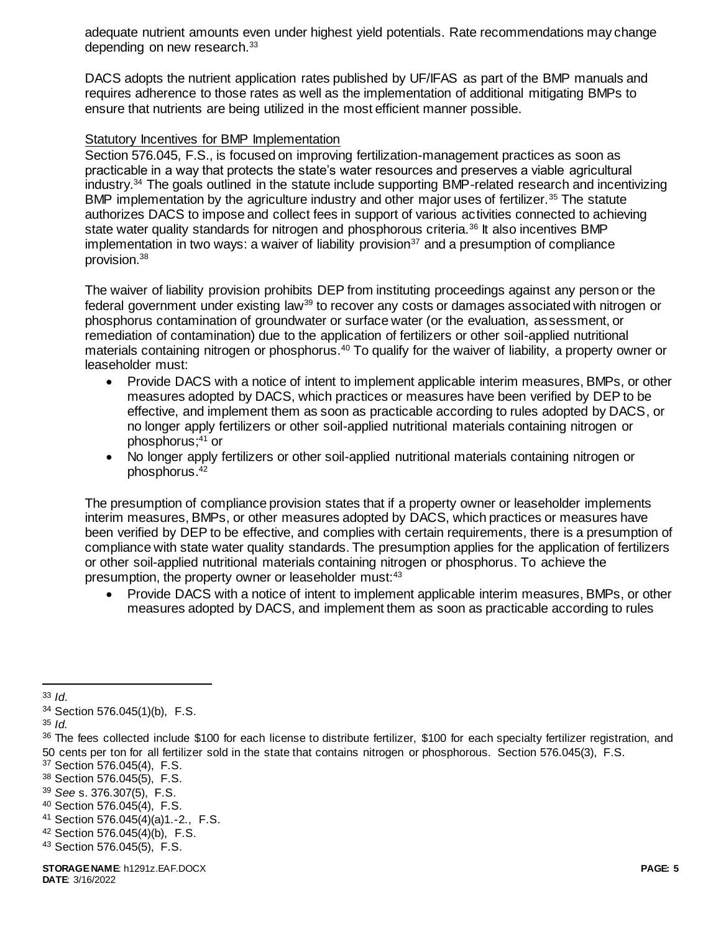adequate nutrient amounts even under highest yield potentials. Rate recommendations may change depending on new research.<sup>33</sup>

DACS adopts the nutrient application rates published by UF/IFAS as part of the BMP manuals and requires adherence to those rates as well as the implementation of additional mitigating BMPs to ensure that nutrients are being utilized in the most efficient manner possible.

#### Statutory Incentives for BMP Implementation

Section 576.045, F.S., is focused on improving fertilization-management practices as soon as practicable in a way that protects the state's water resources and preserves a viable agricultural industry.<sup>34</sup> The goals outlined in the statute include supporting BMP-related research and incentivizing BMP implementation by the agriculture industry and other major uses of fertilizer.<sup>35</sup> The statute authorizes DACS to impose and collect fees in support of various activities connected to achieving state water quality standards for nitrogen and phosphorous criteria.<sup>36</sup> It also incentives BMP implementation in two ways: a waiver of liability provision<sup>37</sup> and a presumption of compliance provision.<sup>38</sup>

The waiver of liability provision prohibits DEP from instituting proceedings against any person or the federal government under existing law<sup>39</sup> to recover any costs or damages associated with nitrogen or phosphorus contamination of groundwater or surface water (or the evaluation, assessment, or remediation of contamination) due to the application of fertilizers or other soil-applied nutritional materials containing nitrogen or phosphorus.<sup>40</sup> To qualify for the waiver of liability, a property owner or leaseholder must:

- Provide DACS with a notice of intent to implement applicable interim measures, BMPs, or other measures adopted by DACS, which practices or measures have been verified by DEP to be effective, and implement them as soon as practicable according to rules adopted by DACS, or no longer apply fertilizers or other soil-applied nutritional materials containing nitrogen or phosphorus; <sup>41</sup> or
- No longer apply fertilizers or other soil-applied nutritional materials containing nitrogen or phosphorus.<sup>42</sup>

The presumption of compliance provision states that if a property owner or leaseholder implements interim measures, BMPs, or other measures adopted by DACS, which practices or measures have been verified by DEP to be effective, and complies with certain requirements, there is a presumption of compliance with state water quality standards. The presumption applies for the application of fertilizers or other soil-applied nutritional materials containing nitrogen or phosphorus. To achieve the presumption, the property owner or leaseholder must:<sup>43</sup>

 Provide DACS with a notice of intent to implement applicable interim measures, BMPs, or other measures adopted by DACS, and implement them as soon as practicable according to rules

- <sup>41</sup> Section 576.045(4)(a)1.-2., F.S.
- <sup>42</sup> Section 576.045(4)(b), F.S.

 $\overline{a}$ <sup>33</sup> *Id*.

<sup>34</sup> Section 576.045(1)(b), F.S.

<sup>35</sup> *Id.* 

<sup>36</sup> The fees collected include \$100 for each license to distribute fertilizer, \$100 for each specialty fertilizer registration, and 50 cents per ton for all fertilizer sold in the state that contains nitrogen or phosphorous. Section 576.045(3), F.S.

<sup>37</sup> Section 576.045(4), F.S.

<sup>38</sup> Section 576.045(5), F.S.

<sup>39</sup> *See* s. 376.307(5), F.S.

<sup>40</sup> Section 576.045(4), F.S.

<sup>43</sup> Section 576.045(5), F.S.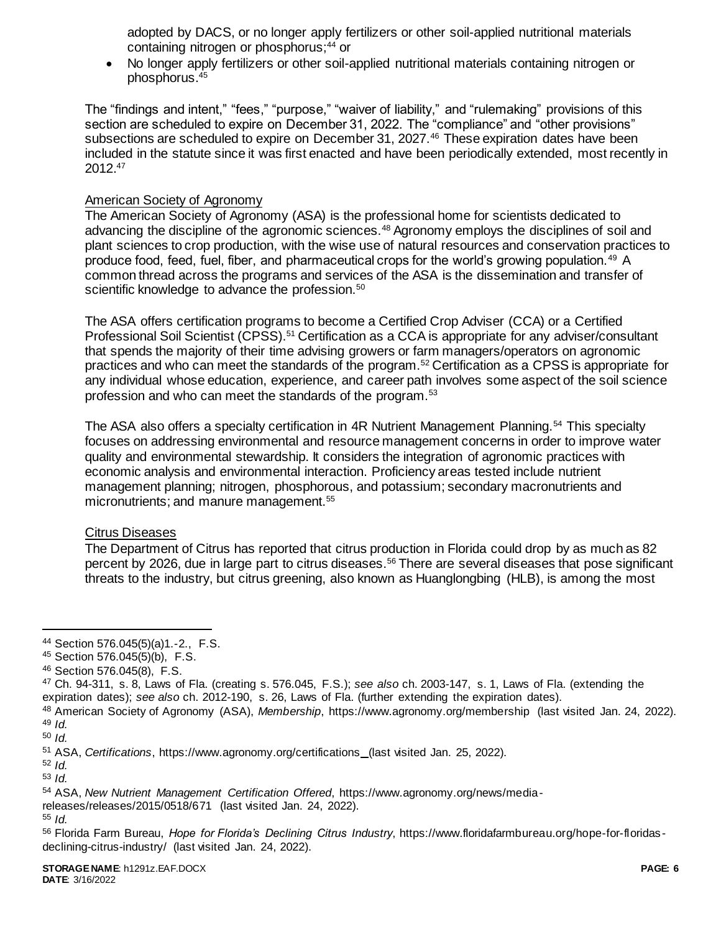adopted by DACS, or no longer apply fertilizers or other soil-applied nutritional materials containing nitrogen or phosphorus;<sup>44</sup> or

 No longer apply fertilizers or other soil-applied nutritional materials containing nitrogen or phosphorus.<sup>45</sup>

The "findings and intent," "fees," "purpose," "waiver of liability," and "rulemaking" provisions of this section are scheduled to expire on December 31, 2022. The "compliance" and "other provisions" subsections are scheduled to expire on December 31, 2027.<sup>46</sup> These expiration dates have been included in the statute since it was first enacted and have been periodically extended, most recently in 2012.<sup>47</sup>

#### American Society of Agronomy

The American Society of Agronomy (ASA) is the professional home for scientists dedicated to advancing the discipline of the agronomic sciences.<sup>48</sup> Agronomy employs the disciplines of soil and plant sciences to crop production, with the wise use of natural resources and conservation practices to produce food, feed, fuel, fiber, and pharmaceutical crops for the world's growing population.<sup>49</sup> A common thread across the programs and services of the ASA is the dissemination and transfer of scientific knowledge to advance the profession.<sup>50</sup>

The ASA offers certification programs to become a Certified Crop Adviser (CCA) or a Certified Professional Soil Scientist (CPSS).<sup>51</sup> Certification as a CCA is appropriate for any adviser/consultant that spends the majority of their time advising growers or farm managers/operators on agronomic practices and who can meet the standards of the program.<sup>52</sup> Certification as a CPSS is appropriate for any individual whose education, experience, and career path involves some aspect of the soil science profession and who can meet the standards of the program.<sup>53</sup>

The ASA also offers a specialty certification in 4R Nutrient Management Planning.<sup>54</sup> This specialty focuses on addressing environmental and resource management concerns in order to improve water quality and environmental stewardship. It considers the integration of agronomic practices with economic analysis and environmental interaction. Proficiency areas tested include nutrient management planning; nitrogen, phosphorous, and potassium; secondary macronutrients and micronutrients; and manure management.<sup>55</sup>

#### Citrus Diseases

The Department of Citrus has reported that citrus production in Florida could drop by as much as 82 percent by 2026, due in large part to citrus diseases.<sup>56</sup> There are several diseases that pose significant threats to the industry, but citrus greening, also known as Huanglongbing (HLB), is among the most

 $\overline{a}$ 

releases/releases/2015/0518/671 (last visited Jan. 24, 2022).

<sup>44</sup> Section 576.045(5)(a)1.-2., F.S.

<sup>45</sup> Section 576.045(5)(b), F.S.

<sup>46</sup> Section 576.045(8), F.S.

<sup>47</sup> Ch. 94-311, s. 8, Laws of Fla. (creating s. 576.045, F.S.); *see also* ch. 2003-147, s. 1, Laws of Fla. (extending the expiration dates); *see also* ch. 2012-190, s. 26, Laws of Fla. (further extending the expiration dates).

<sup>48</sup> American Society of Agronomy (ASA), *Membership*, https://www.agronomy.org/membership (last visited Jan. 24, 2022). <sup>49</sup> *Id.* 

<sup>50</sup> *Id.*

<sup>51</sup> ASA, *Certifications*, https://www.agronomy.org/certifications (last visited Jan. 25, 2022).

<sup>52</sup> *Id.*

<sup>53</sup> *Id.*

<sup>54</sup> ASA, *New Nutrient Management Certification Offered*, https://www.agronomy.org/news/media-

<sup>55</sup> *Id.* 

<sup>56</sup> Florida Farm Bureau, *Hope for Florida's Declining Citrus Industry*, https://www.floridafarmbureau.org/hope-for-floridasdeclining-citrus-industry/ (last visited Jan. 24, 2022).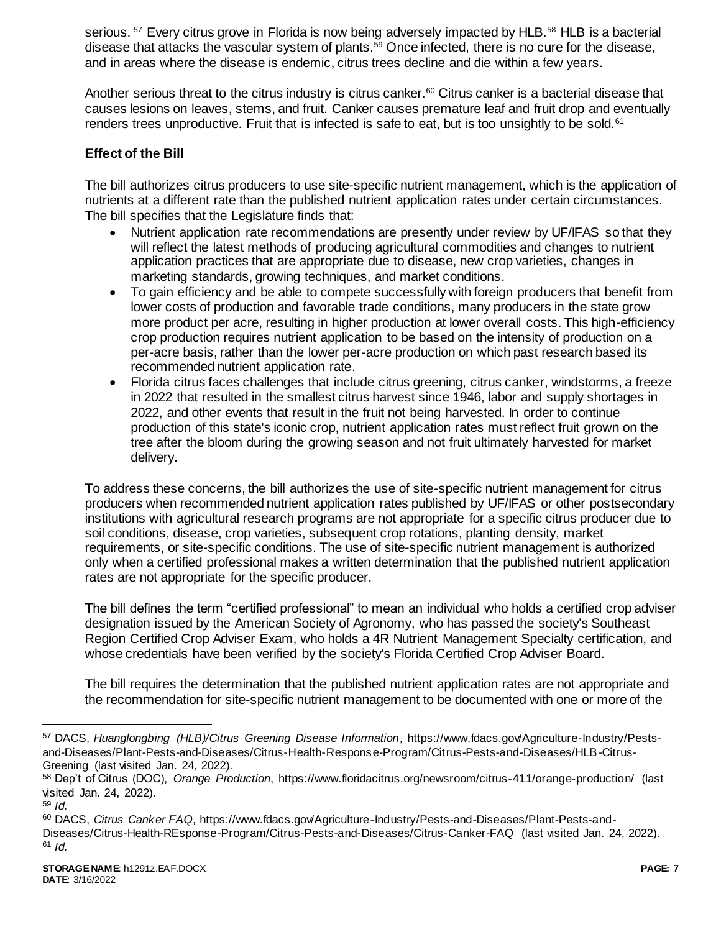serious. <sup>57</sup> Every citrus grove in Florida is now being adversely impacted by HLB.<sup>58</sup> HLB is a bacterial disease that attacks the vascular system of plants.<sup>59</sup> Once infected, there is no cure for the disease, and in areas where the disease is endemic, citrus trees decline and die within a few years.

Another serious threat to the citrus industry is citrus canker.<sup>60</sup> Citrus canker is a bacterial disease that causes lesions on leaves, stems, and fruit. Canker causes premature leaf and fruit drop and eventually renders trees unproductive. Fruit that is infected is safe to eat, but is too unsightly to be sold.<sup>61</sup>

## **Effect of the Bill**

The bill authorizes citrus producers to use site-specific nutrient management, which is the application of nutrients at a different rate than the published nutrient application rates under certain circumstances. The bill specifies that the Legislature finds that:

- Nutrient application rate recommendations are presently under review by UF/IFAS so that they will reflect the latest methods of producing agricultural commodities and changes to nutrient application practices that are appropriate due to disease, new crop varieties, changes in marketing standards, growing techniques, and market conditions.
- To gain efficiency and be able to compete successfully with foreign producers that benefit from lower costs of production and favorable trade conditions, many producers in the state grow more product per acre, resulting in higher production at lower overall costs. This high-efficiency crop production requires nutrient application to be based on the intensity of production on a per-acre basis, rather than the lower per-acre production on which past research based its recommended nutrient application rate.
- Florida citrus faces challenges that include citrus greening, citrus canker, windstorms, a freeze in 2022 that resulted in the smallest citrus harvest since 1946, labor and supply shortages in 2022, and other events that result in the fruit not being harvested. In order to continue production of this state's iconic crop, nutrient application rates must reflect fruit grown on the tree after the bloom during the growing season and not fruit ultimately harvested for market delivery.

To address these concerns, the bill authorizes the use of site-specific nutrient management for citrus producers when recommended nutrient application rates published by UF/IFAS or other postsecondary institutions with agricultural research programs are not appropriate for a specific citrus producer due to soil conditions, disease, crop varieties, subsequent crop rotations, planting density, market requirements, or site-specific conditions. The use of site-specific nutrient management is authorized only when a certified professional makes a written determination that the published nutrient application rates are not appropriate for the specific producer.

The bill defines the term "certified professional" to mean an individual who holds a certified crop adviser designation issued by the American Society of Agronomy, who has passed the society's Southeast Region Certified Crop Adviser Exam, who holds a 4R Nutrient Management Specialty certification, and whose credentials have been verified by the society's Florida Certified Crop Adviser Board.

The bill requires the determination that the published nutrient application rates are not appropriate and the recommendation for site-specific nutrient management to be documented with one or more of the

l

<sup>57</sup> DACS, *Huanglongbing (HLB)/Citrus Greening Disease Information*, https://www.fdacs.gov/Agriculture-Industry/Pestsand-Diseases/Plant-Pests-and-Diseases/Citrus-Health-Response-Program/Citrus-Pests-and-Diseases/HLB-Citrus-Greening (last visited Jan. 24, 2022).

<sup>58</sup> Dep't of Citrus (DOC), *Orange Production*, https://www.floridacitrus.org/newsroom/citrus-411/orange-production/ (last visited Jan. 24, 2022).

<sup>59</sup> *Id.*

<sup>60</sup> DACS, *Citrus Canker FAQ*, https://www.fdacs.gov/Agriculture-Industry/Pests-and-Diseases/Plant-Pests-and-Diseases/Citrus-Health-REsponse-Program/Citrus-Pests-and-Diseases/Citrus-Canker-FAQ (last visited Jan. 24, 2022). <sup>61</sup> *Id.*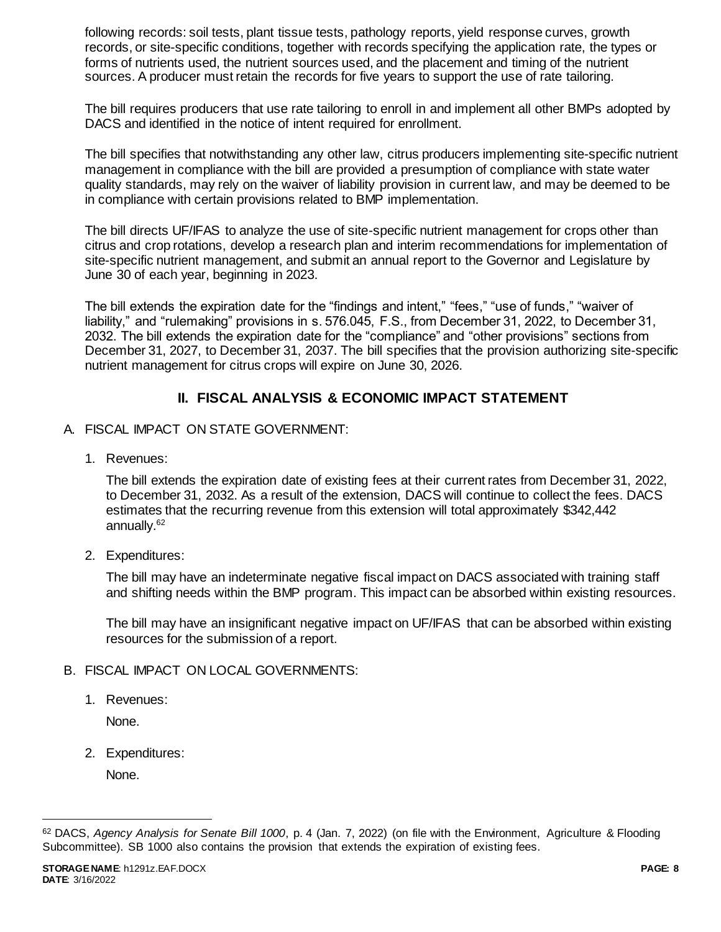following records: soil tests, plant tissue tests, pathology reports, yield response curves, growth records, or site-specific conditions, together with records specifying the application rate, the types or forms of nutrients used, the nutrient sources used, and the placement and timing of the nutrient sources. A producer must retain the records for five years to support the use of rate tailoring.

The bill requires producers that use rate tailoring to enroll in and implement all other BMPs adopted by DACS and identified in the notice of intent required for enrollment.

The bill specifies that notwithstanding any other law, citrus producers implementing site-specific nutrient management in compliance with the bill are provided a presumption of compliance with state water quality standards, may rely on the waiver of liability provision in current law, and may be deemed to be in compliance with certain provisions related to BMP implementation.

The bill directs UF/IFAS to analyze the use of site-specific nutrient management for crops other than citrus and crop rotations, develop a research plan and interim recommendations for implementation of site-specific nutrient management, and submit an annual report to the Governor and Legislature by June 30 of each year, beginning in 2023.

The bill extends the expiration date for the "findings and intent," "fees," "use of funds," "waiver of liability," and "rulemaking" provisions in s. 576.045, F.S., from December 31, 2022, to December 31, 2032. The bill extends the expiration date for the "compliance" and "other provisions" sections from December 31, 2027, to December 31, 2037. The bill specifies that the provision authorizing site-specific nutrient management for citrus crops will expire on June 30, 2026.

# **II. FISCAL ANALYSIS & ECONOMIC IMPACT STATEMENT**

- A. FISCAL IMPACT ON STATE GOVERNMENT:
	- 1. Revenues:

The bill extends the expiration date of existing fees at their current rates from December 31, 2022, to December 31, 2032. As a result of the extension, DACS will continue to collect the fees. DACS estimates that the recurring revenue from this extension will total approximately \$342,442 annually.<sup>62</sup>

2. Expenditures:

The bill may have an indeterminate negative fiscal impact on DACS associated with training staff and shifting needs within the BMP program. This impact can be absorbed within existing resources.

The bill may have an insignificant negative impact on UF/IFAS that can be absorbed within existing resources for the submission of a report.

- B. FISCAL IMPACT ON LOCAL GOVERNMENTS:
	- 1. Revenues:

None.

2. Expenditures:

None.

l

<sup>62</sup> DACS, *Agency Analysis for Senate Bill 1000*, p. 4 (Jan. 7, 2022) (on file with the Environment, Agriculture & Flooding Subcommittee). SB 1000 also contains the provision that extends the expiration of existing fees.